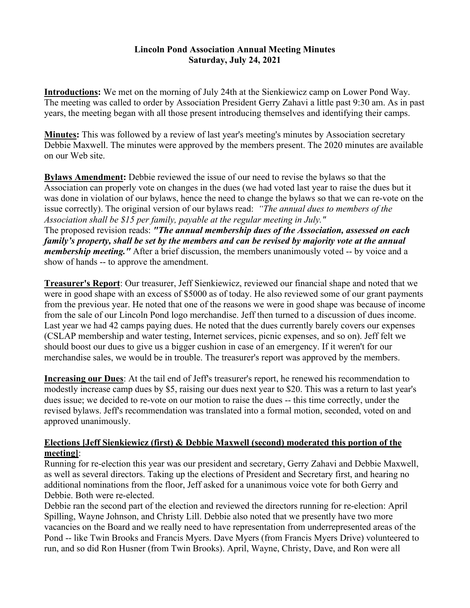## **Lincoln Pond Association Annual Meeting Minutes Saturday, July 24, 2021**

**Introductions:** We met on the morning of July 24th at the Sienkiewicz camp on Lower Pond Way. The meeting was called to order by Association President Gerry Zahavi a little past 9:30 am. As in past years, the meeting began with all those present introducing themselves and identifying their camps.

**Minutes:** This was followed by a review of last year's meeting's minutes by Association secretary Debbie Maxwell. The minutes were approved by the members present. The 2020 minutes are available on our Web site.

**Bylaws Amendment:** Debbie reviewed the issue of our need to revise the bylaws so that the Association can properly vote on changes in the dues (we had voted last year to raise the dues but it was done in violation of our bylaws, hence the need to change the bylaws so that we can re-vote on the issue correctly). The original version of our bylaws read: *"The annual dues to members of the Association shall be \$15 per family, payable at the regular meeting in July."*

The proposed revision reads: *"The annual membership dues of the Association, assessed on each family's property, shall be set by the members and can be revised by majority vote at the annual membership meeting."* After a brief discussion, the members unanimously voted -- by voice and a show of hands -- to approve the amendment.

**Treasurer's Report**: Our treasurer, Jeff Sienkiewicz, reviewed our financial shape and noted that we were in good shape with an excess of \$5000 as of today. He also reviewed some of our grant payments from the previous year. He noted that one of the reasons we were in good shape was because of income from the sale of our Lincoln Pond logo merchandise. Jeff then turned to a discussion of dues income. Last year we had 42 camps paying dues. He noted that the dues currently barely covers our expenses (CSLAP membership and water testing, Internet services, picnic expenses, and so on). Jeff felt we should boost our dues to give us a bigger cushion in case of an emergency. If it weren't for our merchandise sales, we would be in trouble. The treasurer's report was approved by the members.

**Increasing our Dues**: At the tail end of Jeff's treasurer's report, he renewed his recommendation to modestly increase camp dues by \$5, raising our dues next year to \$20. This was a return to last year's dues issue; we decided to re-vote on our motion to raise the dues -- this time correctly, under the revised bylaws. Jeff's recommendation was translated into a formal motion, seconded, voted on and approved unanimously.

## **Elections [Jeff Sienkiewicz (first) & Debbie Maxwell (second) moderated this portion of the meeting]**:

Running for re-election this year was our president and secretary, Gerry Zahavi and Debbie Maxwell, as well as several directors. Taking up the elections of President and Secretary first, and hearing no additional nominations from the floor, Jeff asked for a unanimous voice vote for both Gerry and Debbie. Both were re-elected.

Debbie ran the second part of the election and reviewed the directors running for re-election: April Spilling, Wayne Johnson, and Christy Lill. Debbie also noted that we presently have two more vacancies on the Board and we really need to have representation from underrepresented areas of the Pond -- like Twin Brooks and Francis Myers. Dave Myers (from Francis Myers Drive) volunteered to run, and so did Ron Husner (from Twin Brooks). April, Wayne, Christy, Dave, and Ron were all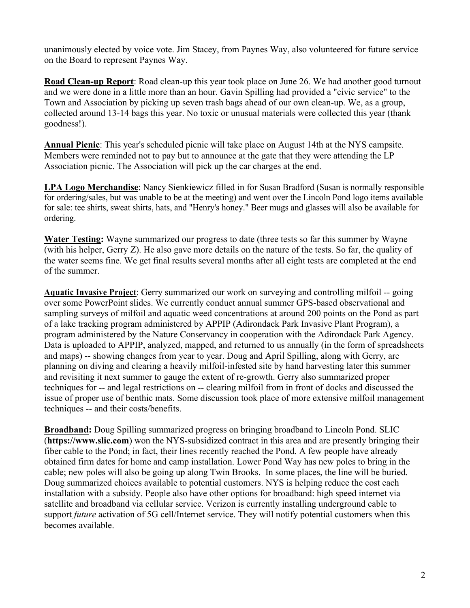unanimously elected by voice vote. Jim Stacey, from Paynes Way, also volunteered for future service on the Board to represent Paynes Way.

**Road Clean-up Report**: Road clean-up this year took place on June 26. We had another good turnout and we were done in a little more than an hour. Gavin Spilling had provided a "civic service" to the Town and Association by picking up seven trash bags ahead of our own clean-up. We, as a group, collected around 13-14 bags this year. No toxic or unusual materials were collected this year (thank goodness!).

**Annual Picnic**: This year's scheduled picnic will take place on August 14th at the NYS campsite. Members were reminded not to pay but to announce at the gate that they were attending the LP Association picnic. The Association will pick up the car charges at the end.

**LPA Logo Merchandise**: Nancy Sienkiewicz filled in for Susan Bradford (Susan is normally responsible for ordering/sales, but was unable to be at the meeting) and went over the Lincoln Pond logo items available for sale: tee shirts, sweat shirts, hats, and "Henry's honey." Beer mugs and glasses will also be available for ordering.

**Water Testing:** Wayne summarized our progress to date (three tests so far this summer by Wayne (with his helper, Gerry Z). He also gave more details on the nature of the tests. So far, the quality of the water seems fine. We get final results several months after all eight tests are completed at the end of the summer.

**Aquatic Invasive Project**: Gerry summarized our work on surveying and controlling milfoil -- going over some PowerPoint slides. We currently conduct annual summer GPS-based observational and sampling surveys of milfoil and aquatic weed concentrations at around 200 points on the Pond as part of a lake tracking program administered by APPIP (Adirondack Park Invasive Plant Program), a program administered by the Nature Conservancy in cooperation with the Adirondack Park Agency. Data is uploaded to APPIP, analyzed, mapped, and returned to us annually (in the form of spreadsheets and maps) -- showing changes from year to year. Doug and April Spilling, along with Gerry, are planning on diving and clearing a heavily milfoil-infested site by hand harvesting later this summer and revisiting it next summer to gauge the extent of re-growth. Gerry also summarized proper techniques for -- and legal restrictions on -- clearing milfoil from in front of docks and discussed the issue of proper use of benthic mats. Some discussion took place of more extensive milfoil management techniques -- and their costs/benefits.

**Broadband:** Doug Spilling summarized progress on bringing broadband to Lincoln Pond. SLIC (**https://www.slic.com**) won the NYS-subsidized contract in this area and are presently bringing their fiber cable to the Pond; in fact, their lines recently reached the Pond. A few people have already obtained firm dates for home and camp installation. Lower Pond Way has new poles to bring in the cable; new poles will also be going up along Twin Brooks. In some places, the line will be buried. Doug summarized choices available to potential customers. NYS is helping reduce the cost each installation with a subsidy. People also have other options for broadband: high speed internet via satellite and broadband via cellular service. Verizon is currently installing underground cable to support *future* activation of 5G cell/Internet service. They will notify potential customers when this becomes available.